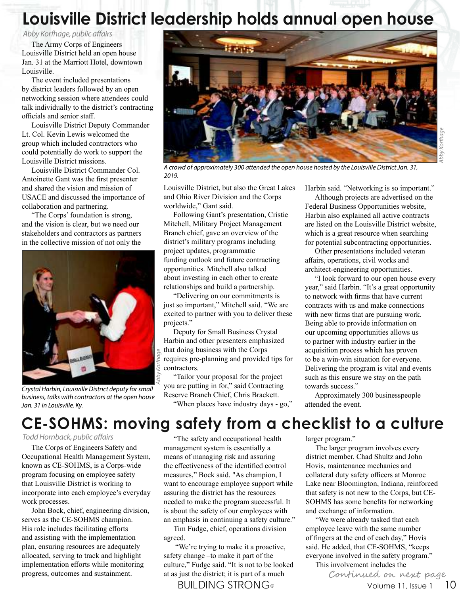# **Louisville District leadership holds annual open house**

Abby Korfhage, public affairs

The Army Corps of Engineers Louisville District held an open house Jan. 31 at the Marriott Hotel, downtown Louisville.

The event included presentations by district leaders followed by an open networking session where attendees could talk individually to the district's contracting officials and senior staff.

Louisville District Deputy Commander Lt. Col. Kevin Lewis welcomed the group which included contractors who could potentially do work to support the Louisville District missions.

Louisville District Commander Col. Antoinette Gant was the first presenter and shared the vision and mission of USACE and discussed the importance of collaboration and partnering.

"The Corps' foundation is strong, and the vision is clear, but we need our stakeholders and contractors as partners in the collective mission of not only the



Crystal Harbin, Louisville District deputy for small business, talks with contractors at the open house Jan. 31 in Louisville, Ky.



Abby Korfhage

A crowd of approximately 300 attended the open house hosted by the Louisville District Jan. 31, 2019.

Louisville District, but also the Great Lakes and Ohio River Division and the Corps worldwide," Gant said.

Following Gant's presentation, Cristie Mitchell, Military Project Management Branch chief, gave an overview of the district's military programs including project updates, programmatic funding outlook and future contracting opportunities. Mitchell also talked about investing in each other to create relationships and build a partnership.

"Delivering on our commitments is just so important," Mitchell said. "We are excited to partner with you to deliver these projects."

Deputy for Small Business Crystal Harbin and other presenters emphasized that doing business with the Corps requires pre-planning and provided tips for contractors.

"Tailor your proposal for the project you are putting in for," said Contracting Reserve Branch Chief, Chris Brackett.

"When places have industry days - go,"

Harbin said. "Networking is so important."

Although projects are advertised on the Federal Business Opportunities website, Harbin also explained all active contracts are listed on the Louisville District website, which is a great resource when searching for potential subcontracting opportunities.

Other presentations included veteran affairs, operations, civil works and architect-engineering opportunities.

"I look forward to our open house every year," said Harbin. "It's a great opportunity to network with firms that have current contracts with us and make connections with new firms that are pursuing work. Being able to provide information on our upcoming opportunities allows us to partner with industry earlier in the acquisition process which has proven to be a win-win situation for everyone. Delivering the program is vital and events such as this ensure we stay on the path towards success."

Approximately 300 businesspeople attended the event.

## **CE-SOHMS: moving safety from a checklist to a culture**

#### Todd Hornback, public affairs

The Corps of Engineers Safety and Occupational Health Management System, known as CE-SOHMS, is a Corps-wide program focusing on employee safety that Louisville District is working to incorporate into each employee's everyday work processes.

John Bock, chief, engineering division, serves as the CE-SOHMS champion. His role includes facilitating efforts and assisting with the implementation plan, ensuring resources are adequately allocated, serving to track and highlight implementation efforts while monitoring progress, outcomes and sustainment.

"The safety and occupational health management system is essentially a means of managing risk and assuring the effectiveness of the identified control measures," Bock said. "As champion, I want to encourage employee support while assuring the district has the resources needed to make the program successful. It is about the safety of our employees with an emphasis in continuing a safety culture."

Tim Fudge, chief, operations division agreed.

 "We're trying to make it a proactive, safety change –to make it part of the culture," Fudge said. "It is not to be looked at as just the district; it is part of a much

BUILDING STRONG<sup>®</sup> volume 11, Issue 1 10

larger program."

The larger program involves every district member. Chad Shultz and John Hovis, maintenance mechanics and collateral duty safety officers at Monroe Lake near Bloomington, Indiana, reinforced that safety is not new to the Corps, but CE-SOHMS has some benefits for networking and exchange of information.

"We were already tasked that each employee leave with the same number of fingers at the end of each day," Hovis said. He added, that CE-SOHMS, "keeps everyone involved in the safety program."

This involvement includes the

Continued on next page